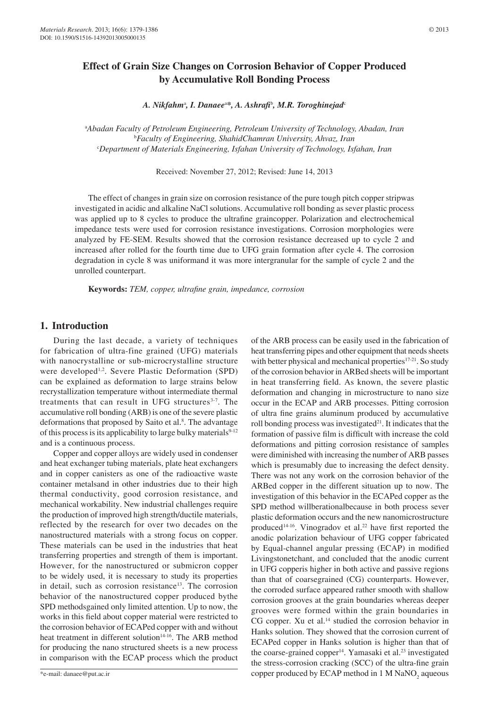# **Effect of Grain Size Changes on Corrosion Behavior of Copper Produced by Accumulative Roll Bonding Process**

*A. Nikfahm*<sup>a</sup> *, I. Danaee*<sup>a</sup> *\*, A. Ashrafi*<sup>b</sup> *, M.R. Toroghinejad*<sup>c</sup>

a *Abadan Faculty of Petroleum Engineering, Petroleum University of Technology, Abadan, Iran* b *Faculty of Engineering, ShahidChamran University, Ahvaz, Iran* c *Department of Materials Engineering, Isfahan University of Technology, Isfahan, Iran*

Received: November 27, 2012; Revised: June 14, 2013

The effect of changes in grain size on corrosion resistance of the pure tough pitch copper stripwas investigated in acidic and alkaline NaCl solutions. Accumulative roll bonding as sever plastic process was applied up to 8 cycles to produce the ultrafine graincopper. Polarization and electrochemical impedance tests were used for corrosion resistance investigations. Corrosion morphologies were analyzed by FE-SEM. Results showed that the corrosion resistance decreased up to cycle 2 and increased after rolled for the fourth time due to UFG grain formation after cycle 4. The corrosion degradation in cycle 8 was uniformand it was more intergranular for the sample of cycle 2 and the unrolled counterpart.

**Keywords:** *TEM, copper, ultrafine grain, impedance, corrosion*

## **1. Introduction**

During the last decade, a variety of techniques for fabrication of ultra-fine grained (UFG) materials with nanocrystalline or sub-microcrystalline structure were developed<sup>1,2</sup>. Severe Plastic Deformation (SPD) can be explained as deformation to large strains below recrystallization temperature without intermediate thermal treatments that can result in UFG structures<sup>3-7</sup>. The accumulative roll bonding (ARB) is one of the severe plastic deformations that proposed by Saito et al.<sup>8</sup>. The advantage of this process is its applicability to large bulky materials $9-12$ and is a continuous process.

Copper and copper alloys are widely used in condenser and heat exchanger tubing materials, plate heat exchangers and in copper canisters as one of the radioactive waste container metalsand in other industries due to their high thermal conductivity, good corrosion resistance, and mechanical workability. New industrial challenges require the production of improved high strength/ductile materials, reflected by the research for over two decades on the nanostructured materials with a strong focus on copper. These materials can be used in the industries that heat transferring properties and strength of them is important. However, for the nanostructured or submicron copper to be widely used, it is necessary to study its properties in detail, such as corrosion resistance<sup>13</sup>. The corrosion behavior of the nanostructured copper produced bythe SPD methodsgained only limited attention. Up to now, the works in this field about copper material were restricted to the corrosion behavior of ECAPed copper with and without heat treatment in different solution<sup>14-16</sup>. The ARB method for producing the nano structured sheets is a new process in comparison with the ECAP process which the product

of the ARB process can be easily used in the fabrication of heat transferring pipes and other equipment that needs sheets with better physical and mechanical properties<sup>17-21</sup>. So study of the corrosion behavior in ARBed sheets will be important in heat transferring field. As known, the severe plastic deformation and changing in microstructure to nano size occur in the ECAP and ARB processes. Pitting corrosion of ultra fine grains aluminum produced by accumulative roll bonding process was investigated<sup>21</sup>. It indicates that the formation of passive film is difficult with increase the cold deformations and pitting corrosion resistance of samples were diminished with increasing the number of ARB passes which is presumably due to increasing the defect density. There was not any work on the corrosion behavior of the ARBed copper in the different situation up to now. The investigation of this behavior in the ECAPed copper as the SPD method willberationalbecause in both process sever plastic deformation occurs and the new nanomicrostructure produced<sup>14-16</sup>. Vinogradov et al.<sup>22</sup> have first reported the anodic polarization behaviour of UFG copper fabricated by Equal-channel angular pressing (ECAP) in modified Livingstonetchant, and concluded that the anodic current in UFG copperis higher in both active and passive regions than that of coarsegrained (CG) counterparts. However, the corroded surface appeared rather smooth with shallow corrosion grooves at the grain boundaries whereas deeper grooves were formed within the grain boundaries in CG copper. Xu et al.<sup>14</sup> studied the corrosion behavior in Hanks solution. They showed that the corrosion current of ECAPed copper in Hanks solution is higher than that of the coarse-grained copper<sup>14</sup>. Yamasaki et al.<sup>23</sup> investigated the stress-corrosion cracking (SCC) of the ultra-fine grain <sup>\*</sup>e-mail: danaee@put.ac.ir copper produced by ECAP method in 1 M NaNO<sub>2</sub> aqueous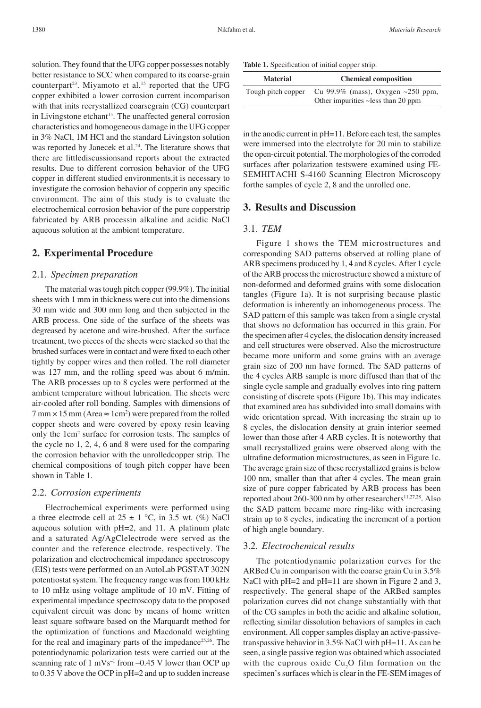solution. They found that the UFG copper possesses notably better resistance to SCC when compared to its coarse-grain counterpart<sup>23</sup>. Miyamoto et al.<sup>15</sup> reported that the UFG copper exhibited a lower corrosion current incomparison with that inits recrystallized coarsegrain (CG) counterpart in Livingstone etchant<sup>15</sup>. The unaffected general corrosion characteristics and homogeneous damage in the UFG copper in 3% NaCl, 1M HCl and the standard Livingston solution was reported by Janecek et al.<sup>24</sup>. The literature shows that there are littlediscussionsand reports about the extracted results. Due to different corrosion behavior of the UFG copper in different studied environments,it is necessary to investigate the corrosion behavior of copperin any specific environment. The aim of this study is to evaluate the electrochemical corrosion behavior of the pure copperstrip fabricated by ARB processin alkaline and acidic NaCl aqueous solution at the ambient temperature.

## **2. Experimental Procedure**

#### 2.1. *Specimen preparation*

The material was tough pitch copper (99.9%). The initial sheets with 1 mm in thickness were cut into the dimensions 30 mm wide and 300 mm long and then subjected in the ARB process. One side of the surface of the sheets was degreased by acetone and wire-brushed. After the surface treatment, two pieces of the sheets were stacked so that the brushed surfaces were in contact and were fixed to each other tightly by copper wires and then rolled. The roll diameter was 127 mm, and the rolling speed was about 6 m/min. The ARB processes up to 8 cycles were performed at the ambient temperature without lubrication. The sheets were air-cooled after roll bonding. Samples with dimensions of 7 mm  $\times$  15 mm (Area  $\approx$  1 cm<sup>2</sup>) were prepared from the rolled copper sheets and were covered by epoxy resin leaving only the 1cm<sup>2</sup> surface for corrosion tests. The samples of the cycle no 1, 2, 4, 6 and 8 were used for the comparing the corrosion behavior with the unrolledcopper strip. The chemical compositions of tough pitch copper have been shown in Table 1.

#### 2.2. *Corrosion experiments*

Electrochemical experiments were performed using a three electrode cell at  $25 \pm 1$  °C, in 3.5 wt. (%) NaCl aqueous solution with pH=2, and 11. A platinum plate and a saturated Ag/AgClelectrode were served as the counter and the reference electrode, respectively. The polarization and electrochemical impedance spectroscopy (EIS) tests were performed on an AutoLab PGSTAT 302N potentiostat system. The frequency range was from 100 kHz to 10 mHz using voltage amplitude of 10 mV. Fitting of experimental impedance spectroscopy data to the proposed equivalent circuit was done by means of home written least square software based on the Marquardt method for the optimization of functions and Macdonald weighting for the real and imaginary parts of the impedance<sup>25,26</sup>. The potentiodynamic polarization tests were carried out at the scanning rate of  $1 \text{ mVs}^{-1}$  from  $-0.45 \text{ V}$  lower than OCP up to 0.35 V above the OCP in pH=2 and up to sudden increase

|  |  | Table 1. Specification of initial copper strip. |  |  |  |  |
|--|--|-------------------------------------------------|--|--|--|--|
|--|--|-------------------------------------------------|--|--|--|--|

| <b>Material</b>    | <b>Chemical composition</b>                                                   |  |  |  |  |
|--------------------|-------------------------------------------------------------------------------|--|--|--|--|
| Tough pitch copper | Cu 99.9% (mass), Oxygen ~250 ppm,<br>Other impurities $\sim$ less than 20 ppm |  |  |  |  |

in the anodic current in pH=11. Before each test, the samples were immersed into the electrolyte for 20 min to stabilize the open-circuit potential. The morphologies of the corroded surfaces after polarization testswere examined using FE-SEMHITACHI S-4160 Scanning Electron Microscopy forthe samples of cycle 2, 8 and the unrolled one.

#### **3. Results and Discussion**

#### 3.1. *TEM*

Figure 1 shows the TEM microstructures and corresponding SAD patterns observed at rolling plane of ARB specimens produced by 1, 4 and 8 cycles. After 1 cycle of the ARB process the microstructure showed a mixture of non-deformed and deformed grains with some dislocation tangles (Figure 1a). It is not surprising because plastic deformation is inherently an inhomogeneous process. The SAD pattern of this sample was taken from a single crystal that shows no deformation has occurred in this grain. For the specimen after 4 cycles, the dislocation density increased and cell structures were observed. Also the microstructure became more uniform and some grains with an average grain size of 200 nm have formed. The SAD patterns of the 4 cycles ARB sample is more diffused than that of the single cycle sample and gradually evolves into ring pattern consisting of discrete spots (Figure 1b). This may indicates that examined area has subdivided into small domains with wide orientation spread. With increasing the strain up to 8 cycles, the dislocation density at grain interior seemed lower than those after 4 ARB cycles. It is noteworthy that small recrystallized grains were observed along with the ultrafine deformation microstructures, as seen in Figure 1c. The average grain size of these recrystallized grains is below 100 nm, smaller than that after 4 cycles. The mean grain size of pure copper fabricated by ARB process has been reported about 260-300 nm by other researchers<sup>11,27,28</sup>. Also the SAD pattern became more ring-like with increasing strain up to 8 cycles, indicating the increment of a portion of high angle boundary.

#### 3.2. *Electrochemical results*

The potentiodynamic polarization curves for the ARBed Cu in comparison with the coarse grain Cu in 3.5% NaCl with  $pH=2$  and  $pH=11$  are shown in Figure 2 and 3, respectively. The general shape of the ARBed samples polarization curves did not change substantially with that of the CG samples in both the acidic and alkaline solution, reflecting similar dissolution behaviors of samples in each environment. All copper samples display an active-passivetranspassive behavior in 3.5% NaCl with pH=11. As can be seen, a single passive region was obtained which associated with the cuprous oxide  $Cu<sub>2</sub>O$  film formation on the specimen's surfaces which is clear in the FE-SEM images of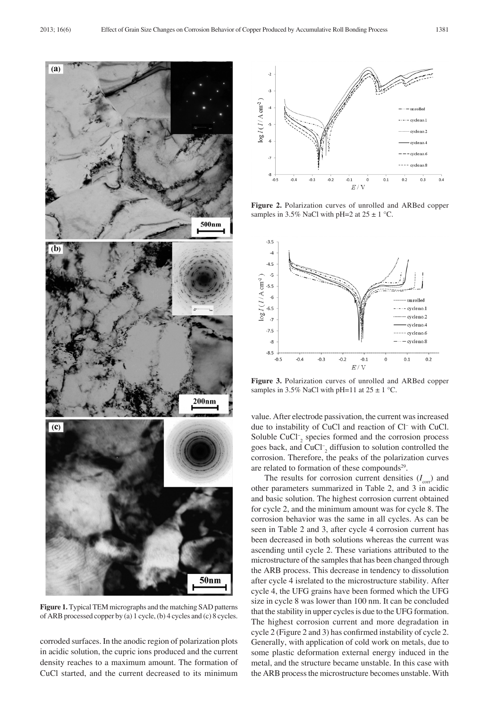

**Figure 1.** Typical TEM micrographs and the matching SAD patterns of ARB processed copper by (a) 1 cycle, (b) 4 cycles and (c) 8 cycles.

corroded surfaces. In the anodic region of polarization plots in acidic solution, the cupric ions produced and the current density reaches to a maximum amount. The formation of CuCl started, and the current decreased to its minimum



**Figure 2.** Polarization curves of unrolled and ARBed copper samples in 3.5% NaCl with pH=2 at  $25 \pm 1$  °C.



**Figure 3.** Polarization curves of unrolled and ARBed copper samples in 3.5% NaCl with pH=11 at  $25 \pm 1$  °C.

value. After electrode passivation, the current was increased due to instability of CuCl and reaction of Cl– with CuCl. Soluble CuCl– 2 species formed and the corrosion process goes back, and CuCl– 2 diffusion to solution controlled the corrosion. Therefore, the peaks of the polarization curves are related to formation of these compounds<sup>29</sup>.

The results for corrosion current densities  $(I_{cor})$  and other parameters summarized in Table 2, and 3 in acidic and basic solution. The highest corrosion current obtained for cycle 2, and the minimum amount was for cycle 8. The corrosion behavior was the same in all cycles. As can be seen in Table 2 and 3, after cycle 4 corrosion current has been decreased in both solutions whereas the current was ascending until cycle 2. These variations attributed to the microstructure of the samples that has been changed through the ARB process. This decrease in tendency to dissolution after cycle 4 isrelated to the microstructure stability. After cycle 4, the UFG grains have been formed which the UFG size in cycle 8 was lower than 100 nm. It can be concluded that the stability in upper cycles is due to the UFG formation. The highest corrosion current and more degradation in cycle 2 (Figure 2 and 3) has confirmed instability of cycle 2. Generally, with application of cold work on metals, due to some plastic deformation external energy induced in the metal, and the structure became unstable. In this case with the ARB process the microstructure becomes unstable. With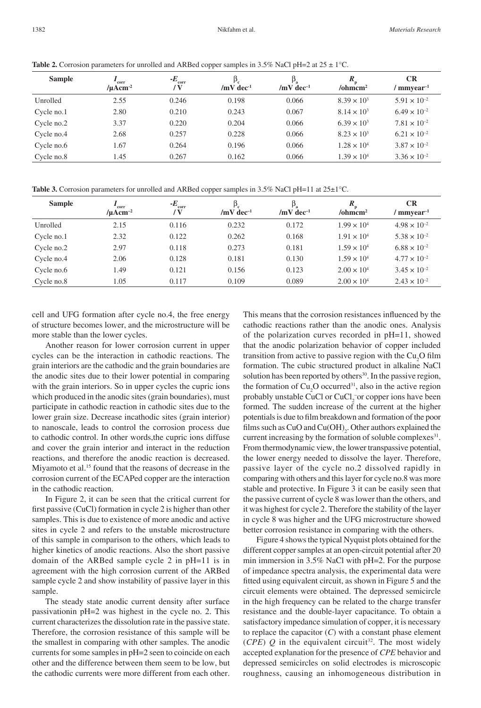| <b>Table 2.</b> Corrosion parameters for unrolled and ARBed copper samples in 3.5% NaCl pH=2 at $25 \pm 1^{\circ}$ C. |  |
|-----------------------------------------------------------------------------------------------------------------------|--|
|-----------------------------------------------------------------------------------------------------------------------|--|

| <b>Sample</b> | corr<br>$/\mu$ Acm <sup>-2</sup> | -E<br>corr<br>$\sqrt{V}$ | $/mV$ dec <sup>-1</sup> | $\beta_a$<br>/mV dec <sup>-1</sup> | R<br>$/b$ hmcm <sup>2</sup> | <b>CR</b><br>/ mmvear <sup>-1</sup> |
|---------------|----------------------------------|--------------------------|-------------------------|------------------------------------|-----------------------------|-------------------------------------|
| Unrolled      | 2.55                             | 0.246                    | 0.198                   | 0.066                              | $8.39 \times 10^{3}$        | $5.91 \times 10^{-2}$               |
| Cycle no.1    | 2.80                             | 0.210                    | 0.243                   | 0.067                              | $8.14 \times 10^{3}$        | $6.49 \times 10^{-2}$               |
| Cycle no.2    | 3.37                             | 0.220                    | 0.204                   | 0.066                              | $6.39 \times 10^{3}$        | $7.81 \times 10^{-2}$               |
| Cycle no.4    | 2.68                             | 0.257                    | 0.228                   | 0.066                              | $8.23 \times 10^{3}$        | $6.21 \times 10^{-2}$               |
| Cycle no.6    | 1.67                             | 0.264                    | 0.196                   | 0.066                              | $1.28 \times 10^{4}$        | $3.87 \times 10^{-2}$               |
| Cycle no.8    | 1.45                             | 0.267                    | 0.162                   | 0.066                              | $1.39 \times 10^{4}$        | $3.36 \times 10^{-2}$               |

**Table 3.** Corrosion parameters for unrolled and ARBed copper samples in 3.5% NaCl pH=11 at 25±1°C.

| <b>Sample</b> | corr<br>$/\mu$ Acm <sup>-2</sup> | -E<br>corr<br>/ V | $/mV$ dec <sup>-1</sup> | $/mV$ dec <sup>-1</sup> | R<br>$/b$ hmcm <sup>2</sup> | CR<br>$'$ mmvear <sup>-1</sup> |
|---------------|----------------------------------|-------------------|-------------------------|-------------------------|-----------------------------|--------------------------------|
| Unrolled      | 2.15                             | 0.116             | 0.232                   | 0.172                   | $1.99 \times 10^{4}$        | $4.98 \times 10^{-2}$          |
| Cycle no.1    | 2.32                             | 0.122             | 0.262                   | 0.168                   | $1.91 \times 10^{4}$        | $5.38 \times 10^{-2}$          |
| Cycle no.2    | 2.97                             | 0.118             | 0.273                   | 0.181                   | $1.59 \times 10^{4}$        | $6.88 \times 10^{-2}$          |
| Cycle no.4    | 2.06                             | 0.128             | 0.181                   | 0.130                   | $1.59 \times 10^{4}$        | $4.77 \times 10^{-2}$          |
| Cycle no.6    | 1.49                             | 0.121             | 0.156                   | 0.123                   | $2.00 \times 10^{4}$        | $3.45 \times 10^{-2}$          |
| Cycle no.8    | 1.05                             | 0.117             | 0.109                   | 0.089                   | $2.00 \times 10^{4}$        | $2.43 \times 10^{-2}$          |

cell and UFG formation after cycle no.4, the free energy of structure becomes lower, and the microstructure will be more stable than the lower cycles.

Another reason for lower corrosion current in upper cycles can be the interaction in cathodic reactions. The grain interiors are the cathodic and the grain boundaries are the anodic sites due to their lower potential in comparing with the grain interiors. So in upper cycles the cupric ions which produced in the anodic sites (grain boundaries), must participate in cathodic reaction in cathodic sites due to the lower grain size. Decrease incathodic sites (grain interior) to nanoscale, leads to control the corrosion process due to cathodic control. In other words,the cupric ions diffuse and cover the grain interior and interact in the reduction reactions, and therefore the anodic reaction is decreased. Miyamoto et al.15 found that the reasons of decrease in the corrosion current of the ECAPed copper are the interaction in the cathodic reaction.

In Figure 2, it can be seen that the critical current for first passive (CuCl) formation in cycle 2 is higher than other samples. This is due to existence of more anodic and active sites in cycle 2 and refers to the unstable microstructure of this sample in comparison to the others, which leads to higher kinetics of anodic reactions. Also the short passive domain of the ARBed sample cycle 2 in pH=11 is in agreement with the high corrosion current of the ARBed sample cycle 2 and show instability of passive layer in this sample.

The steady state anodic current density after surface passivationin pH=2 was highest in the cycle no. 2. This current characterizes the dissolution rate in the passive state. Therefore, the corrosion resistance of this sample will be the smallest in comparing with other samples. The anodic currents for some samples in pH=2 seen to coincide on each other and the difference between them seem to be low, but the cathodic currents were more different from each other.

This means that the corrosion resistances influenced by the cathodic reactions rather than the anodic ones. Analysis of the polarization curves recorded in pH=11, showed that the anodic polarization behavior of copper included transition from active to passive region with the  $Cu<sub>2</sub>O$  film formation. The cubic structured product in alkaline NaCl solution has been reported by others<sup>30</sup>. In the passive region, the formation of  $Cu<sub>2</sub>O$  occurred<sup>31</sup>, also in the active region probably unstable CuCl or CuCl<sub>2</sub><sup>-</sup>or copper ions have been formed. The sudden increase of the current at the higher potentials is due to film breakdown and formation of the poor films such as CuO and  $Cu(OH)_2$ . Other authors explained the current increasing by the formation of soluble complexes<sup>31</sup>. From thermodynamic view, the lower transpassive potential, the lower energy needed to dissolve the layer. Therefore, passive layer of the cycle no.2 dissolved rapidly in comparing with others and this layer for cycle no.8 was more stable and protective. In Figure 3 it can be easily seen that the passive current of cycle 8 was lower than the others, and it was highest for cycle 2. Therefore the stability of the layer in cycle 8 was higher and the UFG microstructure showed better corrosion resistance in comparing with the others.

Figure 4 shows the typical Nyquist plots obtained for the different copper samples at an open-circuit potential after 20 min immersion in 3.5% NaCl with pH=2. For the purpose of impedance spectra analysis, the experimental data were fitted using equivalent circuit, as shown in Figure 5 and the circuit elements were obtained. The depressed semicircle in the high frequency can be related to the charge transfer resistance and the double-layer capacitance. To obtain a satisfactory impedance simulation of copper, it is necessary to replace the capacitor  $(C)$  with a constant phase element  $(CPE)$  *Q* in the equivalent circuit<sup>32</sup>. The most widely accepted explanation for the presence of *CPE* behavior and depressed semicircles on solid electrodes is microscopic roughness, causing an inhomogeneous distribution in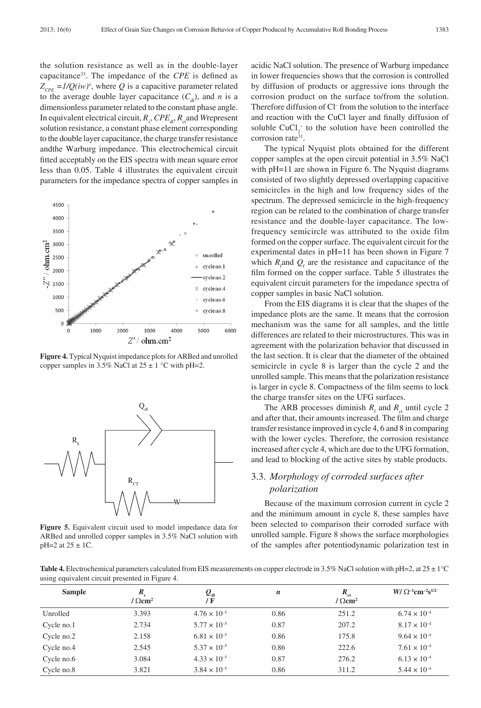the solution resistance as well as in the double-layer capacitance33. The impedance of the *CPE* is defined as  $Z_{\text{CPE}} = I/Q(iw)^n$ , where *Q* is a capacitive parameter related to the average double layer capacitance  $(C_{d})$ , and *n* is a dimensionless parameter related to the constant phase angle. In equivalent electrical circuit,  $R_{\rm s}$ ,  $CPE_{\rm d}$ ,  $R_{\rm c}$  and *Wrepresent* solution resistance, a constant phase element corresponding to the double layer capacitance, the charge transfer resistance andthe Warburg impedance. This electrochemical circuit fitted acceptably on the EIS spectra with mean square error less than 0.05. Table 4 illustrates the equivalent circuit parameters for the impedance spectra of copper samples in



**Figure 4.** Typical Nyquist impedance plots for ARBed and unrolled copper samples in 3.5% NaCl at  $25 \pm 1$  °C with pH=2.



**Figure 5.** Equivalent circuit used to model impedance data for ARBed and unrolled copper samples in 3.5% NaCl solution with  $pH=2$  at  $25 \pm 1C$ .

acidic NaCl solution. The presence of Warburg impedance in lower frequencies shows that the corrosion is controlled by diffusion of products or aggressive ions through the corrosion product on the surface to/from the solution. Therefore diffusion of Cl– from the solution to the interface and reaction with the CuCl layer and finally diffusion of soluble  $CuCl<sub>2</sub><sup>-</sup>$  to the solution have been controlled the corrosion rate<sup>31</sup>.

The typical Nyquist plots obtained for the different copper samples at the open circuit potential in 3.5% NaCl with  $pH=11$  are shown in Figure 6. The Nyquist diagrams consisted of two slightly depressed overlapping capacitive semicircles in the high and low frequency sides of the spectrum. The depressed semicircle in the high-frequency region can be related to the combination of charge transfer resistance and the double-layer capacitance. The lowfrequency semicircle was attributed to the oxide film formed on the copper surface. The equivalent circuit for the experimental dates in pH=11 has been shown in Figure 7 which  $R_f$  and  $Q_f$  are the resistance and capacitance of the film formed on the copper surface. Table 5 illustrates the equivalent circuit parameters for the impedance spectra of copper samples in basic NaCl solution.

From the EIS diagrams it is clear that the shapes of the impedance plots are the same. It means that the corrosion mechanism was the same for all samples, and the little differences are related to their microstructures. This was in agreement with the polarization behavior that discussed in the last section. It is clear that the diameter of the obtained semicircle in cycle 8 is larger than the cycle 2 and the unrolled sample. This means that the polarization resistance is larger in cycle 8. Compactness of the film seems to lock the charge transfer sites on the UFG surfaces.

The ARB processes diminish  $R_f$  and  $R_{\text{ct}}$  until cycle 2 and after that, their amounts increased. The film and charge transfer resistance improved in cycle 4, 6 and 8 in comparing with the lower cycles. Therefore, the corrosion resistance increased after cycle 4, which are due to the UFG formation, and lead to blocking of the active sites by stable products.

## 3.3. *Morphology of corroded surfaces after polarization*

Because of the maximum corrosion current in cycle 2 and the minimum amount in cycle 8, these samples have been selected to comparison their corroded surface with unrolled sample. Figure 8 shows the surface morphologies of the samples after potentiodynamic polarization test in

**Table 4.** Electrochemical parameters calculated from EIS measurements on copper electrode in 3.5% NaCl solution with pH=2, at 25 ± 1°C using equivalent circuit presented in Figure 4.

| <b>Sample</b> | $R_{\rm c}$<br>/ $\Omega$ cm <sup>2</sup> | $Q_{\rm dl}$<br>' F   | $\boldsymbol{n}$ | $R_{\rm ct}$<br>/ $\Omega$ cm <sup>2</sup> | $W/\Omega^{-1}$ cm <sup>-2</sup> s <sup>1/2</sup> |
|---------------|-------------------------------------------|-----------------------|------------------|--------------------------------------------|---------------------------------------------------|
| Unrolled      | 3.393                                     | $4.76 \times 10^{-5}$ | 0.86             | 251.2                                      | $6.74 \times 10^{-4}$                             |
| Cycle no.1    | 2.734                                     | $5.77 \times 10^{-5}$ | 0.87             | 207.2                                      | $8.17 \times 10^{-4}$                             |
| Cycle no.2    | 2.158                                     | $6.81 \times 10^{-5}$ | 0.86             | 175.8                                      | $9.64 \times 10^{-4}$                             |
| Cycle no.4    | 2.545                                     | $5.37 \times 10^{-5}$ | 0.86             | 222.6                                      | $7.61 \times 10^{-4}$                             |
| Cycle no.6    | 3.084                                     | $4.33 \times 10^{-5}$ | 0.87             | 276.2                                      | $6.13 \times 10^{-4}$                             |
| Cycle no.8    | 3.821                                     | $3.84 \times 10^{-5}$ | 0.86             | 311.2                                      | $5.44 \times 10^{-4}$                             |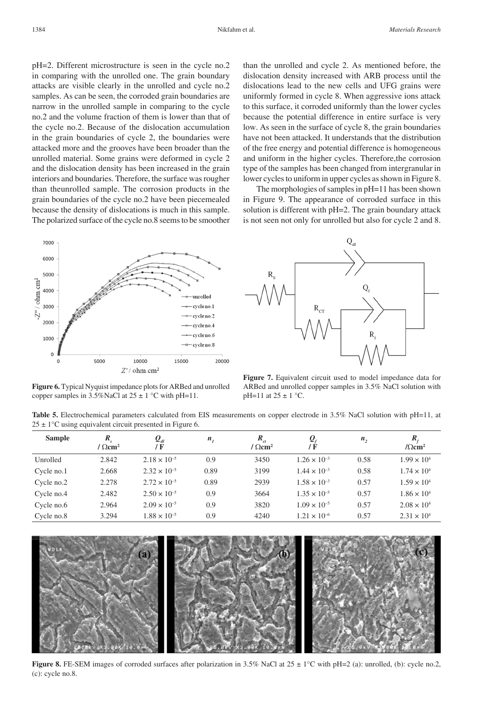pH=2. Different microstructure is seen in the cycle no.2 in comparing with the unrolled one. The grain boundary attacks are visible clearly in the unrolled and cycle no.2 samples. As can be seen, the corroded grain boundaries are narrow in the unrolled sample in comparing to the cycle no.2 and the volume fraction of them is lower than that of the cycle no.2. Because of the dislocation accumulation in the grain boundaries of cycle 2, the boundaries were attacked more and the grooves have been broader than the unrolled material. Some grains were deformed in cycle 2 and the dislocation density has been increased in the grain interiors and boundaries. Therefore, the surface was rougher than theunrolled sample. The corrosion products in the grain boundaries of the cycle no.2 have been piecemealed because the density of dislocations is much in this sample. The polarized surface of the cycle no.8 seems to be smoother

7000 6000 5000  $Z''/$  ohm.cm<sup>2</sup> 4000 mrolled 3000 - cycle no.1 cycleno.2 2000 cycle no.4 - cycle no.6 1000 - cycleno 8  $\overline{0}$  $\overline{0}$ 5000 10000 15000 20000  $Z'/$  ohm.cm<sup>2</sup>

**Figure 6.** Typical Nyquist impedance plots for ARBed and unrolled copper samples in  $3.5\%$ NaCl at  $25 \pm 1$  °C with pH=11.

than the unrolled and cycle 2. As mentioned before, the dislocation density increased with ARB process until the dislocations lead to the new cells and UFG grains were uniformly formed in cycle 8. When aggressive ions attack to this surface, it corroded uniformly than the lower cycles because the potential difference in entire surface is very low. As seen in the surface of cycle 8, the grain boundaries have not been attacked. It understands that the distribution of the free energy and potential difference is homogeneous and uniform in the higher cycles. Therefore,the corrosion type of the samples has been changed from intergranular in lower cycles to uniform in upper cycles as shown in Figure 8.

The morphologies of samples in pH=11 has been shown in Figure 9. The appearance of corroded surface in this solution is different with pH=2. The grain boundary attack is not seen not only for unrolled but also for cycle 2 and 8.



**Table 5.** Electrochemical parameters calculated from EIS measurements on copper electrode in 3.5% NaCl solution with pH=11, at  $25 \pm 1$ °C using equivalent circuit presented in Figure 6.

| <b>Sample</b> | R<br>/ $\Omega$ cm <sup>2</sup> | $Q_{dl}$<br>/ F       | n,   | $R_{ct}$<br>/ $\Omega$ cm <sup>2</sup> | $\mathcal{Q}_t$<br>F  | n,   | $\boldsymbol{R}_{c}$<br>$/ \Omega$ cm <sup>2</sup> |
|---------------|---------------------------------|-----------------------|------|----------------------------------------|-----------------------|------|----------------------------------------------------|
| Unrolled      | 2.842                           | $2.18 \times 10^{-5}$ | 0.9  | 3450                                   | $1.26 \times 10^{-3}$ | 0.58 | $1.99 \times 10^{4}$                               |
| Cycle no.1    | 2.668                           | $2.32 \times 10^{-5}$ | 0.89 | 3199                                   | $1.44 \times 10^{-3}$ | 0.58 | $1.74 \times 10^{4}$                               |
| Cycle no.2    | 2.278                           | $2.72 \times 10^{-5}$ | 0.89 | 2939                                   | $1.58 \times 10^{-3}$ | 0.57 | $1.59 \times 10^{4}$                               |
| Cycle no.4    | 2.482                           | $2.50 \times 10^{-5}$ | 0.9  | 3664                                   | $1.35 \times 10^{-5}$ | 0.57 | $1.86 \times 10^{4}$                               |
| Cycle no.6    | 2.964                           | $2.09 \times 10^{-5}$ | 0.9  | 3820                                   | $1.09 \times 10^{-5}$ | 0.57 | $2.08 \times 10^{4}$                               |
| Cycle no.8    | 3.294                           | $1.88 \times 10^{-5}$ | 0.9  | 4240                                   | $1.21 \times 10^{-6}$ | 0.57 | $2.31 \times 10^{4}$                               |



**Figure 8.** FE-SEM images of corroded surfaces after polarization in 3.5% NaCl at  $25 \pm 1^{\circ}$ C with pH=2 (a): unrolled, (b): cycle no.2, (c): cycle no.8.

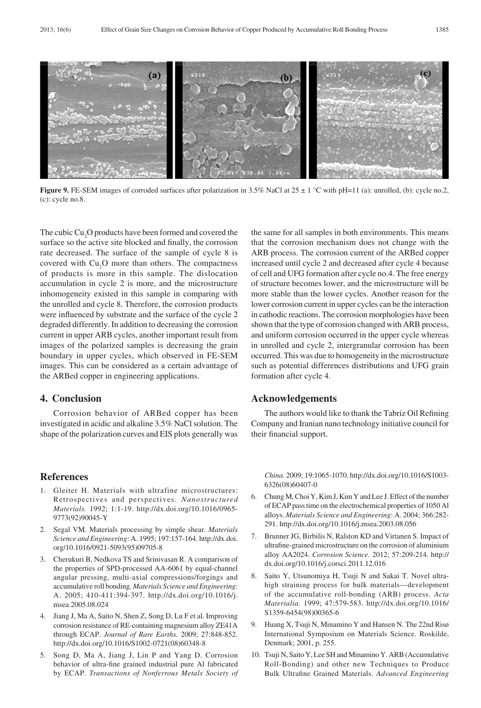

**Figure 9.** FE-SEM images of corroded surfaces after polarization in 3.5% NaCl at 25  $\pm$  1 °C with pH=11 (a): unrolled, (b): cycle no.2, (c): cycle no.8.

The cubic  $Cu<sub>2</sub>O$  products have been formed and covered the surface so the active site blocked and finally, the corrosion rate decreased. The surface of the sample of cycle 8 is covered with  $Cu<sub>2</sub>O$  more than others. The compactness of products is more in this sample. The dislocation accumulation in cycle 2 is more, and the microstructure inhomogeneity existed in this sample in comparing with the unrolled and cycle 8. Therefore, the corrosion products were influenced by substrate and the surface of the cycle 2 degraded differently. In addition to decreasing the corrosion current in upper ARB cycles, another important result from images of the polarized samples is decreasing the grain boundary in upper cycles, which observed in FE-SEM images. This can be considered as a certain advantage of the ARBed copper in engineering applications.

## **4. Conclusion**

Corrosion behavior of ARBed copper has been investigated in acidic and alkaline 3.5% NaCl solution. The shape of the polarization curves and EIS plots generally was

## **References**

- 1. Gleiter H. Materials with ultrafine microstructures: Retrospectives and perspectives. *Nanostructured Materials.* 1992; 1:1-19. [http://dx.doi.org/10.1016/0965-](http://dx.doi.org/10.1016/0965-9773(92)90045-Y) [9773\(92\)90045-Y](http://dx.doi.org/10.1016/0965-9773(92)90045-Y)
- 2. Segal VM. Materials processing by simple shear. *Materials Science and Engineering*: A. 1995; 197:157-164. [http://dx.doi.](http://dx.doi.org/10.1016/0921-5093(95)09705-8) [org/10.1016/0921-5093\(95\)09705-8](http://dx.doi.org/10.1016/0921-5093(95)09705-8)
- 3. Cherukuri B, Nedkova TS and Srinivasan R. A comparison of the properties of SPD-processed AA-6061 by equal-channel angular pressing, multi-axial compressions/forgings and accumulative roll bonding. *Materials Science and Engineering*: A. 2005; 410-411:394-397. [http://dx.doi.org/10.1016/j.](http://dx.doi.org/10.1016/j.msea.2005.08.024) [msea.2005.08.024](http://dx.doi.org/10.1016/j.msea.2005.08.024)
- 4. Jiang J, Ma A, Saito N, Shen Z, Song D, Lu F et al. Improving corrosion resistance of RE-containing magnesium alloy ZE41A through ECAP. *Journal of Rare Earths.* 2009; 27:848-852. [http://dx.doi.org/10.1016/S1002-0721\(08\)60348-8](http://dx.doi.org/10.1016/S1002-0721(08)60348-8)
- 5. Song D, Ma A, Jiang J, Lin P and Yang D. Corrosion behavior of ultra-fine grained industrial pure Al fabricated by ECAP. *Transactions of Nonferrous Metals Society of*

the same for all samples in both environments. This means that the corrosion mechanism does not change with the ARB process. The corrosion current of the ARBed copper increased until cycle 2 and decreased after cycle 4 because of cell and UFG formation after cycle no.4. The free energy of structure becomes lower, and the microstructure will be more stable than the lower cycles. Another reason for the lower corrosion current in upper cycles can be the interaction in cathodic reactions. The corrosion morphologies have been shown that the type of corrosion changed with ARB process, and uniform corrosion occurred in the upper cycle whereas in unrolled and cycle 2, intergranular corrosion has been occurred. This was due to homogeneity in the microstructure such as potential differences distributions and UFG grain formation after cycle 4.

### **Acknowledgements**

The authors would like to thank the Tabriz Oil Refining Company and Iranian nano technology initiative council for their financial support.

*China.* 2009; 19:1065-1070. [http://dx.doi.org/10.1016/S1003-](http://dx.doi.org/10.1016/S1003-6326(08)60407-0) [6326\(08\)60407-0](http://dx.doi.org/10.1016/S1003-6326(08)60407-0)

- 6. Chung M, Choi Y, Kim J, Kim Y and Lee J. Effect of the number of ECAP pass time on the electrochemical properties of 1050 Al alloys. *Materials Science and Engineering*: A. 2004; 366:282- 291. <http://dx.doi.org/10.1016/j.msea.2003.08.056>
- 7. Brunner JG, Birbilis N, Ralston KD and Virtanen S. Impact of ultrafine-grained microstructure on the corrosion of aluminium alloy AA2024. *Corrosion Science.* 2012; 57:209-214. [http://](http://dx.doi.org/10.1016/j.corsci.2011.12.016) [dx.doi.org/10.1016/j.corsci.2011.12.016](http://dx.doi.org/10.1016/j.corsci.2011.12.016)
- 8. Saito Y, Utsunomiya H, Tsuji N and Sakai T. Novel ultrahigh straining process for bulk materials—development of the accumulative roll-bonding (ARB) process. *Acta Materialia.* 1999; 47:579-583. [http://dx.doi.org/10.1016/](http://dx.doi.org/10.1016/S1359-6454(98)00365-6) [S1359-6454\(98\)00365-6](http://dx.doi.org/10.1016/S1359-6454(98)00365-6)
- 9. Huang X, Tsuji N, Minamino Y and Hansen N. The 22nd Risø International Symposium on Materials Science. Roskilde, Denmark; 2001, p. 255.
- 10. Tsuji N, Saito Y, Lee SH and Minamino Y. ARB (Accumulative Roll-Bonding) and other new Techniques to Produce Bulk Ultrafine Grained Materials. *Advanced Engineering*